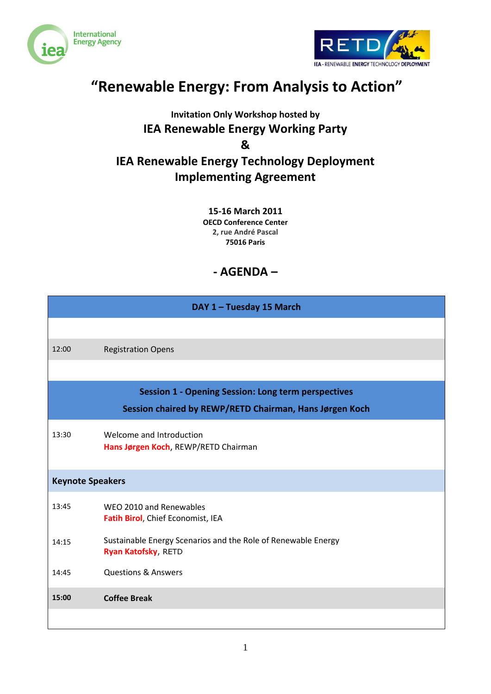



## **"Renewable Energy: From Analysis to Action"**

### **Invitation Only Workshop hosted by IEA Renewable Energy Working Party & IEA Renewable Energy Technology Deployment Implementing Agreement**

**15-16 March 2011 OECD Conference Center 2, rue André Pascal 75016 Paris**

### **- AGENDA –**

| DAY 1 - Tuesday 15 March                                |                                                                                             |  |
|---------------------------------------------------------|---------------------------------------------------------------------------------------------|--|
|                                                         |                                                                                             |  |
| 12:00                                                   | <b>Registration Opens</b>                                                                   |  |
|                                                         |                                                                                             |  |
|                                                         | <b>Session 1 - Opening Session: Long term perspectives</b>                                  |  |
| Session chaired by REWP/RETD Chairman, Hans Jørgen Koch |                                                                                             |  |
| 13:30                                                   | Welcome and Introduction<br>Hans Jørgen Koch, REWP/RETD Chairman                            |  |
| <b>Keynote Speakers</b>                                 |                                                                                             |  |
| 13:45                                                   | WEO 2010 and Renewables<br>Fatih Birol, Chief Economist, IEA                                |  |
| 14:15                                                   | Sustainable Energy Scenarios and the Role of Renewable Energy<br><b>Ryan Katofsky, RETD</b> |  |
| 14:45                                                   | <b>Questions &amp; Answers</b>                                                              |  |
| 15:00                                                   | <b>Coffee Break</b>                                                                         |  |
|                                                         |                                                                                             |  |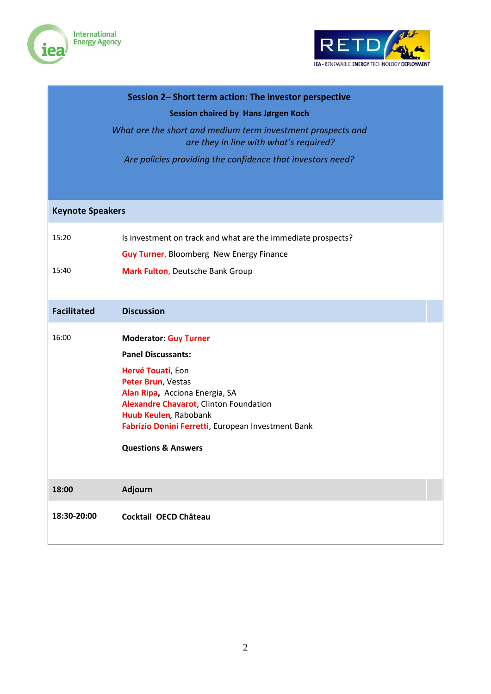



| Session 2- Short term action: The investor perspective |                                                                                                       |  |
|--------------------------------------------------------|-------------------------------------------------------------------------------------------------------|--|
| Session chaired by Hans Jørgen Koch                    |                                                                                                       |  |
|                                                        | What are the short and medium term investment prospects and<br>are they in line with what's required? |  |
|                                                        | Are policies providing the confidence that investors need?                                            |  |
|                                                        |                                                                                                       |  |
|                                                        |                                                                                                       |  |
| <b>Keynote Speakers</b>                                |                                                                                                       |  |
| 15:20                                                  | Is investment on track and what are the immediate prospects?                                          |  |
|                                                        | <b>Guy Turner, Bloomberg New Energy Finance</b>                                                       |  |
| 15:40                                                  | Mark Fulton, Deutsche Bank Group                                                                      |  |
|                                                        |                                                                                                       |  |
| <b>Facilitated</b>                                     | <b>Discussion</b>                                                                                     |  |
| 16:00                                                  | <b>Moderator: Guy Turner</b>                                                                          |  |
|                                                        | <b>Panel Discussants:</b>                                                                             |  |
|                                                        | Hervé Touati, Eon                                                                                     |  |
|                                                        | Peter Brun, Vestas<br>Alan Ripa, Acciona Energia, SA                                                  |  |
|                                                        | Alexandre Chavarot, Clinton Foundation                                                                |  |
|                                                        | Huub Keulen, Rabobank<br>Fabrizio Donini Ferretti, European Investment Bank                           |  |
|                                                        |                                                                                                       |  |
|                                                        | <b>Questions &amp; Answers</b>                                                                        |  |
|                                                        |                                                                                                       |  |
| 18:00                                                  | Adjourn                                                                                               |  |
| 18:30-20:00                                            | Cocktail OECD Château                                                                                 |  |
|                                                        |                                                                                                       |  |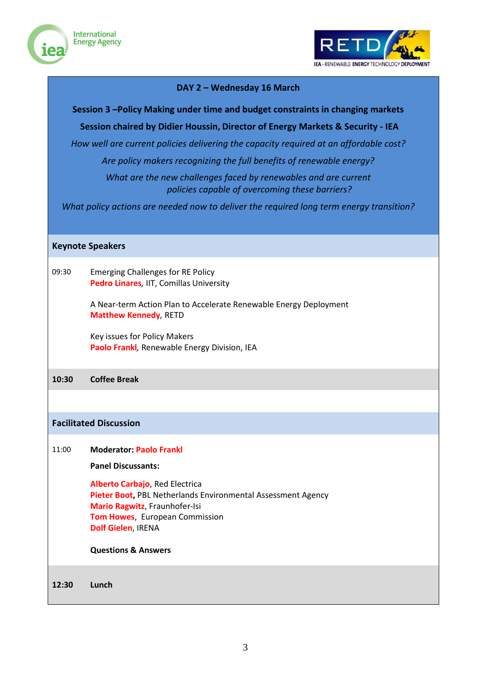



#### **DAY 2 – Wednesday 16 March**

**Session 3 –Policy Making under time and budget constraints in changing markets**

**Session chaired by Didier Houssin, Director of Energy Markets & Security - IEA**

*How well are current policies delivering the capacity required at an affordable cost?*

*Are policy makers recognizing the full benefits of renewable energy?*

*What are the new challenges faced by renewables and are current policies capable of overcoming these barriers?*

*What policy actions are needed now to deliver the required long term energy transition?*

#### **Keynote Speakers**

09:30 Emerging Challenges for RE Policy **Pedro Linares***,* IIT, Comillas University

> A Near-term Action Plan to Accelerate Renewable Energy Deployment **Matthew Kennedy***,* RETD

Key issues for Policy Makers **Paolo Frankl***,* Renewable Energy Division, IEA

#### **10:30 Coffee Break**

#### **Facilitated Discussion**

#### 11:00 **Moderator: Paolo Frankl**

**Panel Discussants:**

**Alberto Carbajo**, Red Electrica **Pieter Boot,** PBL Netherlands Environmental Assessment Agency **Mario Ragwitz**, Fraunhofer-Isi **Tom Howes**, European Commission **Dolf Gielen**, IRENA

**Questions & Answers** 

**12:30 Lunch**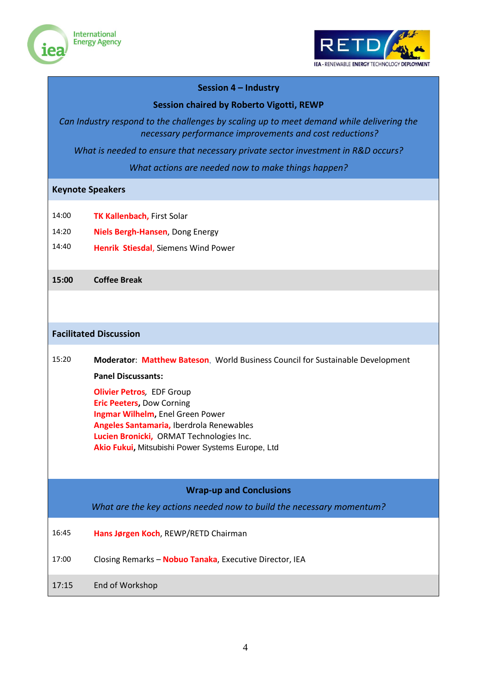



#### **Session 4 – Industry**

#### **Session chaired by Roberto Vigotti, REWP**

*Can Industry respond to the challenges by scaling up to meet demand while delivering the necessary performance improvements and cost reductions?*

*What is needed to ensure that necessary private sector investment in R&D occurs?*

*What actions are needed now to make things happen?*

#### **Keynote Speakers**

- 14:00 **TK Kallenbach,** First Solar
- 14:20 **Niels Bergh-Hansen**, Dong Energy
- 14:40 **Henrik Stiesdal**, Siemens Wind Power

#### **15:00 Coffee Break**

#### **Facilitated Discussion**

# 15:20 **Moderator**: **Matthew Bateson**, World Business Council for Sustainable Development

**Panel Discussants:**

**Olivier Petros***,* EDF Group **Eric Peeters,** Dow Corning **Ingmar Wilhelm,** Enel Green Power **Angeles Santamaria,** Iberdrola Renewables **Lucien Bronicki,** ORMAT Technologies Inc. **Akio Fukui,** Mitsubishi Power Systems Europe, Ltd

#### **Wrap-up and Conclusions**

*What are the key actions needed now to build the necessary momentum?*

- 16:45 **Hans Jørgen Koch**, REWP/RETD Chairman
- 17:00 Closing Remarks **Nobuo Tanaka**, Executive Director, IEA
- 17:15 End of Workshop